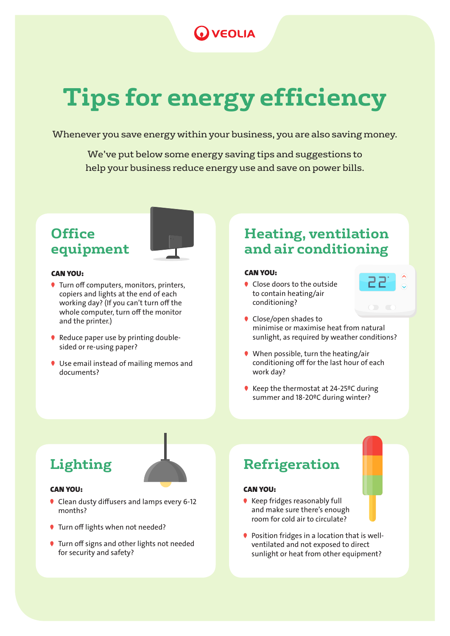### **VEOLIA**

## **Tips for energy efficiency**

Whenever you save energy within your business, you are also saving money.

We've put below some energy saving tips and suggestions to help your business reduce energy use and save on power bills.

### **Office equipment**



#### CAN YOU:

- Turn off computers, monitors, printers, copiers and lights at the end of each working day? (If you can't turn off the whole computer, turn off the monitor and the printer.)
- Reduce paper use by printing doublesided or re-using paper?
- Use email instead of mailing memos and documents?

#### **Heating, ventilation and air conditioning**

#### CAN YOU:

- Close doors to the outside to contain heating/air conditioning?
- Close/open shades to minimise or maximise heat from natural sunlight, as required by weather conditions?

55.

- When possible, turn the heating/air conditioning off for the last hour of each work day?
- Keep the thermostat at 24-25<sup>o</sup>C during summer and 18-20ºC during winter?



#### CAN YOU:

- Clean dusty diffusers and lamps every 6-12 months?
- Turn off lights when not needed?
- **Turn off signs and other lights not needed** for security and safety?

### Lighting **Refrigeration**

#### CAN YOU:

- **Keep fridges reasonably full** and make sure there's enough room for cold air to circulate?
- Position fridges in a location that is wellventilated and not exposed to direct sunlight or heat from other equipment?